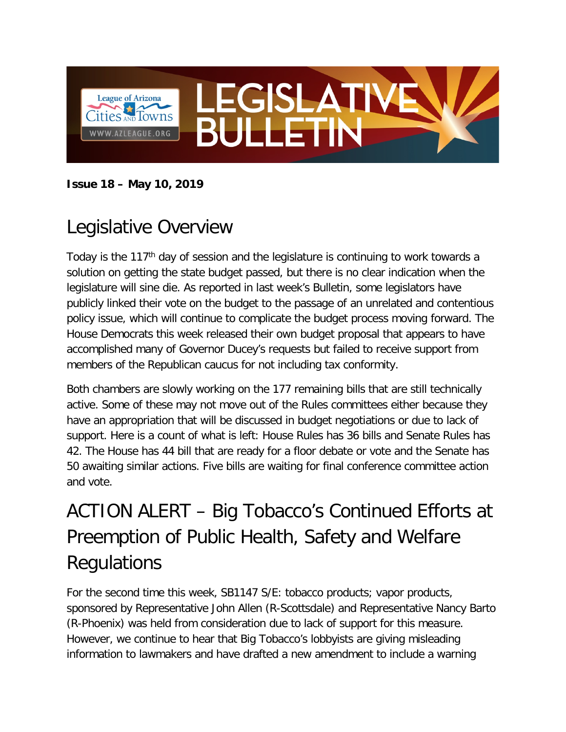

#### **Issue 18 – May 10, 2019**

## Legislative Overview

Today is the 117<sup>th</sup> day of session and the legislature is continuing to work towards a solution on getting the state budget passed, but there is no clear indication when the legislature will sine die. As reported in last week's Bulletin, some legislators have publicly linked their vote on the budget to the passage of an unrelated and contentious policy issue, which will continue to complicate the budget process moving forward. The House Democrats this week released their own budget proposal that appears to have accomplished many of Governor Ducey's requests but failed to receive support from members of the Republican caucus for not including tax conformity.

Both chambers are slowly working on the 177 remaining bills that are still technically active. Some of these may not move out of the Rules committees either because they have an appropriation that will be discussed in budget negotiations or due to lack of support. Here is a count of what is left: House Rules has 36 bills and Senate Rules has 42. The House has 44 bill that are ready for a floor debate or vote and the Senate has 50 awaiting similar actions. Five bills are waiting for final conference committee action and vote.

# ACTION ALERT – Big Tobacco's Continued Efforts at Preemption of Public Health, Safety and Welfare **Regulations**

For the second time this week, SB1147 S/E: tobacco products; vapor products, sponsored by Representative John Allen (R-Scottsdale) and Representative Nancy Barto (R-Phoenix) was held from consideration due to lack of support for this measure. However, we continue to hear that Big Tobacco's lobbyists are giving misleading information to lawmakers and have drafted a new amendment to include a warning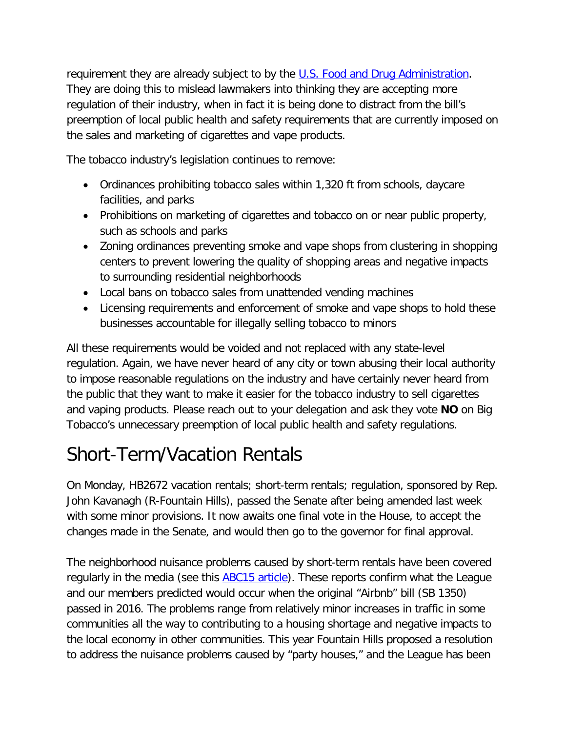requirement they are already subject to by the [U.S. Food and Drug Administration.](https://www.fda.gov/tobacco-products/retail-sales-tobacco-products/retailers-chart-required-warning-statements-tobacco-product-packaging-and-advertising) They are doing this to mislead lawmakers into thinking they are accepting more regulation of their industry, when in fact it is being done to distract from the bill's preemption of local public health and safety requirements that are currently imposed on the sales and marketing of cigarettes and vape products.

The tobacco industry's legislation continues to remove:

- Ordinances prohibiting tobacco sales within 1,320 ft from schools, daycare facilities, and parks
- Prohibitions on marketing of cigarettes and tobacco on or near public property, such as schools and parks
- Zoning ordinances preventing smoke and vape shops from clustering in shopping centers to prevent lowering the quality of shopping areas and negative impacts to surrounding residential neighborhoods
- Local bans on tobacco sales from unattended vending machines
- Licensing requirements and enforcement of smoke and vape shops to hold these businesses accountable for illegally selling tobacco to minors

All these requirements would be voided and not replaced with any state-level regulation. Again, we have never heard of any city or town abusing their local authority to impose reasonable regulations on the industry and have certainly never heard from the public that they want to make it easier for the tobacco industry to sell cigarettes and vaping products. Please reach out to your delegation and ask they vote **NO** on Big Tobacco's unnecessary preemption of local public health and safety regulations.

# Short-Term/Vacation Rentals

On Monday, HB2672 vacation rentals; short-term rentals; regulation, sponsored by Rep. John Kavanagh (R-Fountain Hills), passed the Senate after being amended last week with some minor provisions. It now awaits one final vote in the House, to accept the changes made in the Senate, and would then go to the governor for final approval.

The neighborhood nuisance problems caused by short-term rentals have been covered regularly in the media (see this **ABC15 article**). These reports confirm what the League and our members predicted would occur when the original "Airbnb" bill (SB 1350) passed in 2016. The problems range from relatively minor increases in traffic in some communities all the way to contributing to a housing shortage and negative impacts to the local economy in other communities. This year Fountain Hills proposed a resolution to address the nuisance problems caused by "party houses," and the League has been